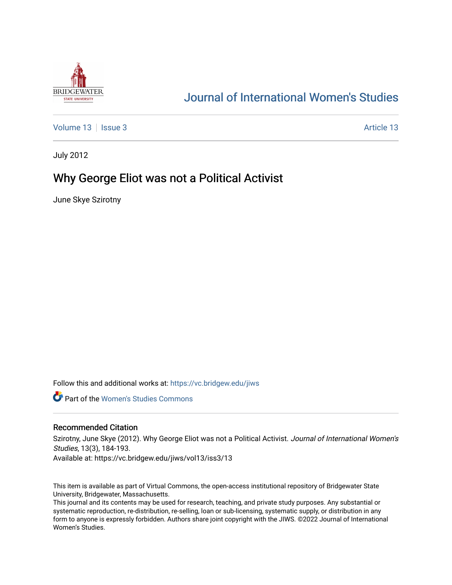

# [Journal of International Women's Studies](https://vc.bridgew.edu/jiws)

[Volume 13](https://vc.bridgew.edu/jiws/vol13) | [Issue 3](https://vc.bridgew.edu/jiws/vol13/iss3) [Article 13](https://vc.bridgew.edu/jiws/vol13/iss3/13) | Issue 3 Article 13 | Issue 3 Article 13 | Issue 3 Article 13 | Issue 3 Article 13 | Issue 3 | Issue 3 | Issue 3 | Issue 3 | Issue 3 | Issue 3 | Issue 3 | Issue 3 | Issue 3 | Issue 3 | Issue

July 2012

# Why George Eliot was not a Political Activist

June Skye Szirotny

Follow this and additional works at: [https://vc.bridgew.edu/jiws](https://vc.bridgew.edu/jiws?utm_source=vc.bridgew.edu%2Fjiws%2Fvol13%2Fiss3%2F13&utm_medium=PDF&utm_campaign=PDFCoverPages)

**C** Part of the Women's Studies Commons

# Recommended Citation

Szirotny, June Skye (2012). Why George Eliot was not a Political Activist. Journal of International Women's Studies, 13(3), 184-193.

Available at: https://vc.bridgew.edu/jiws/vol13/iss3/13

This item is available as part of Virtual Commons, the open-access institutional repository of Bridgewater State University, Bridgewater, Massachusetts.

This journal and its contents may be used for research, teaching, and private study purposes. Any substantial or systematic reproduction, re-distribution, re-selling, loan or sub-licensing, systematic supply, or distribution in any form to anyone is expressly forbidden. Authors share joint copyright with the JIWS. ©2022 Journal of International Women's Studies.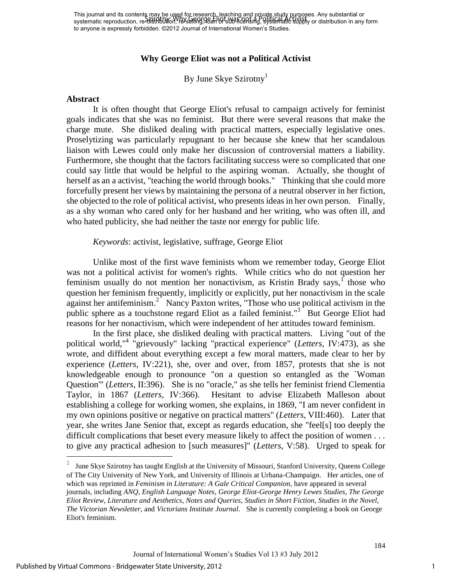This journal and its contents may be used for research, teaching and private study purposes. Any substantial or This journal and its contents hay be a why chosened the product of the product start of the selection or substantial or sub-licensing any form systematic reproduction, re-distribution, Pays eliming game in any form subto anyone is expressly forbidden. ©2012 Journal of International Women's Studies.

# **Why George Eliot was not a Political Activist**

By June Skye Szirotny<sup>1</sup>

#### **Abstract**

It is often thought that George Eliot's refusal to campaign actively for feminist goals indicates that she was no feminist. But there were several reasons that make the charge mute. She disliked dealing with practical matters, especially legislative ones. Proselytizing was particularly repugnant to her because she knew that her scandalous liaison with Lewes could only make her discussion of controversial matters a liability. Furthermore, she thought that the factors facilitating success were so complicated that one could say little that would be helpful to the aspiring woman. Actually, she thought of herself as an a activist, "teaching the world through books." Thinking that she could more forcefully present her views by maintaining the persona of a neutral observer in her fiction, she objected to the role of political activist, who presents ideas in her own person. Finally, as a shy woman who cared only for her husband and her writing, who was often ill, and who hated publicity, she had neither the taste nor energy for public life.

### *Keywords*: activist, legislative, suffrage, George Eliot

Unlike most of the first wave feminists whom we remember today, George Eliot was not a political activist for women's rights. While critics who do not question her feminism usually do not mention her nonactivism, as Kristin Brady says,  $\int$  those who question her feminism frequently, implicitly or explicitly, put her nonactivism in the scale against her antifeminism.<sup>2</sup> Nancy Paxton writes, "Those who use political activism in the public sphere as a touchstone regard Eliot as a failed feminist."<sup>3</sup> But George Eliot had reasons for her nonactivism, which were independent of her attitudes toward feminism.

In the first place, she disliked dealing with practical matters. Living "out of the political world,"<sup>4</sup> "grievously" lacking "practical experience" (*Letters*, IV:473), as she wrote, and diffident about everything except a few moral matters, made clear to her by experience (*Letters*, IV:221), she, over and over, from 1857, protests that she is not knowledgeable enough to pronounce "on a question so entangled as the `Woman Question'" (*Letters*, II:396). She is no "oracle," as she tells her feminist friend Clementia Taylor, in 1867 (*Letters*, IV:366). Hesitant to advise Elizabeth Malleson about establishing a college for working women, she explains, in 1869, "I am never confident in my own opinions positive or negative on practical matters" (*Letters*, VIII:460). Later that year, she writes Jane Senior that, except as regards education, she "feel[s] too deeply the difficult complications that beset every measure likely to affect the position of women . . . to give any practical adhesion to [such measures]" (*Letters*, V:58). Urged to speak for

i<br>L

1

<sup>1</sup> June Skye Szirotny has taught English at the University of Missouri, Stanford University, Queens College of The City University of New York, and University of Illinois at Urbana-Champaign. Her articles, one of which was reprinted in *Feminism in Literature: A Gale Critical Companion*, have appeared in several journals, including *ANQ*, *English Language Notes*, *George Eliot-George Henry Lewes Studies*, *The George Eliot Review*, *Literature and Aesthetics*, *Notes and Queries*, *Studies in Short Fiction*, *Studies in the Novel*, *The Victorian Newsletter*, and *Victorians Institute Journal*. She is currently completing a book on George Eliot's feminism.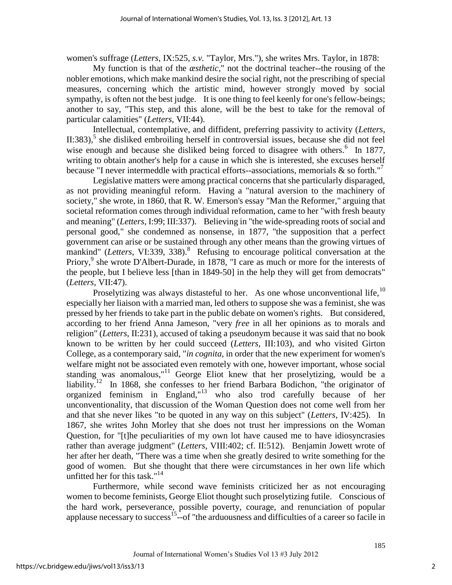women's suffrage (*Letters*, IX:525, *s.v.* "Taylor, Mrs."), she writes Mrs. Taylor, in 1878:

My function is that of the *æsthetic*," not the doctrinal teacher--the rousing of the nobler emotions, which make mankind desire the social right, not the prescribing of special measures, concerning which the artistic mind, however strongly moved by social sympathy, is often not the best judge. It is one thing to feel keenly for one's fellow-beings; another to say, "This step, and this alone, will be the best to take for the removal of particular calamities" (*Letters*, VII:44).

Intellectual, contemplative, and diffident, preferring passivity to activity (*Letters*, II:383),<sup>5</sup> she disliked embroiling herself in controversial issues, because she did not feel wise enough and because she disliked being forced to disagree with others. $6$  In 1877, writing to obtain another's help for a cause in which she is interested, she excuses herself because "I never intermeddle with practical efforts--associations, memorials  $\&$  so forth."<sup>7</sup>

Legislative matters were among practical concerns that she particularly disparaged, as not providing meaningful reform. Having a "natural aversion to the machinery of society," she wrote, in 1860, that R. W. Emerson's essay "Man the Reformer," arguing that societal reformation comes through individual reformation, came to her "with fresh beauty and meaning" (*Letters*, I:99; III:337). Believing in "the wide-spreading roots of social and personal good," she condemned as nonsense, in 1877, "the supposition that a perfect government can arise or be sustained through any other means than the growing virtues of mankind" (Letters, VI:339, 338).<sup>8</sup> Refusing to encourage political conversation at the Priory,<sup>9</sup> she wrote D'Albert-Durade, in 1878, "I care as much or more for the interests of the people, but I believe less [than in 1849-50] in the help they will get from democrats" (*Letters*, VII:47).

Proselytizing was always distasteful to her. As one whose unconventional life,  $10$ especially her liaison with a married man, led others to suppose she was a feminist, she was pressed by her friends to take part in the public debate on women's rights. But considered, according to her friend Anna Jameson, "very *free* in all her opinions as to morals and religion" (*Letters*, II:231), accused of taking a pseudonym because it was said that no book known to be written by her could succeed (*Letters*, III:103), and who visited Girton College, as a contemporary said, "*in cognita*, in order that the new experiment for women's welfare might not be associated even remotely with one, however important, whose social standing was anomalous,"<sup>11</sup> George Eliot knew that her proselytizing, would be a liability.<sup>12</sup> In 1868, she confesses to her friend Barbara Bodichon, "the originator of organized feminism in England,"<sup>13</sup> who also trod carefully because of her unconventionality, that discussion of the Woman Question does not come well from her and that she never likes "to be quoted in any way on this subject" (*Letters*, IV:425). In 1867, she writes John Morley that she does not trust her impressions on the Woman Question, for "[t]he peculiarities of my own lot have caused me to have idiosyncrasies rather than average judgment" (*Letters*, VIII:402; cf. II:512). Benjamin Jowett wrote of her after her death, "There was a time when she greatly desired to write something for the good of women. But she thought that there were circumstances in her own life which unfitted her for this task." $14$ 

Furthermore, while second wave feminists criticized her as not encouraging women to become feminists, George Eliot thought such proselytizing futile. Conscious of the hard work, perseverance, possible poverty, courage, and renunciation of popular applause necessary to success<sup>15</sup>--of "the arduousness and difficulties of a career so facile in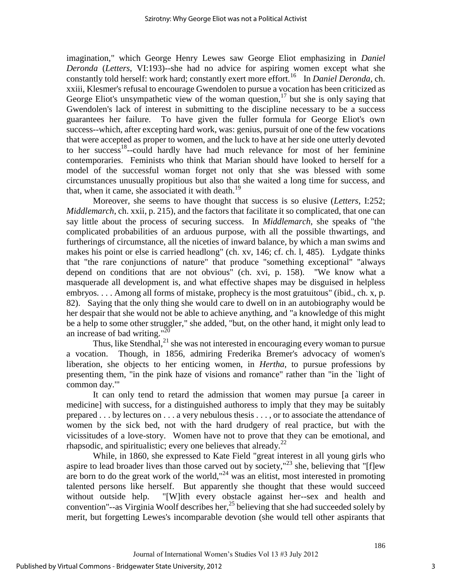imagination," which George Henry Lewes saw George Eliot emphasizing in *Daniel Deronda* (*Letters*, VI:193)--she had no advice for aspiring women except what she constantly told herself: work hard; constantly exert more effort.<sup>16</sup> In *Daniel Deronda*, ch. xxiii, Klesmer's refusal to encourage Gwendolen to pursue a vocation has been criticized as George Eliot's unsympathetic view of the woman question,  $17$  but she is only saying that Gwendolen's lack of interest in submitting to the discipline necessary to be a success guarantees her failure. To have given the fuller formula for George Eliot's own success--which, after excepting hard work, was: genius, pursuit of one of the few vocations that were accepted as proper to women, and the luck to have at her side one utterly devoted to her success<sup>18</sup>--could hardly have had much relevance for most of her feminine contemporaries. Feminists who think that Marian should have looked to herself for a model of the successful woman forget not only that she was blessed with some circumstances unusually propitious but also that she waited a long time for success, and that, when it came, she associated it with death.<sup>19</sup>

Moreover, she seems to have thought that success is so elusive (*Letters*, I:252; *Middlemarch*, ch. xxii, p. 215), and the factors that facilitate it so complicated, that one can say little about the process of securing success. In *Middlemarch*, she speaks of "the complicated probabilities of an arduous purpose, with all the possible thwartings, and furtherings of circumstance, all the niceties of inward balance, by which a man swims and makes his point or else is carried headlong" (ch. xv, 146; cf. ch. l, 485). Lydgate thinks that "the rare conjunctions of nature" that produce "something exceptional" "always depend on conditions that are not obvious" (ch. xvi, p. 158). "We know what a masquerade all development is, and what effective shapes may be disguised in helpless embryos. . . . Among all forms of mistake, prophecy is the most gratuitous" (ibid., ch. x, p. 82). Saying that the only thing she would care to dwell on in an autobiography would be her despair that she would not be able to achieve anything, and "a knowledge of this might be a help to some other struggler," she added, "but, on the other hand, it might only lead to an increase of bad writing." $^{20}$ 

Thus, like Stendhal, $^{21}$  she was not interested in encouraging every woman to pursue a vocation. Though, in 1856, admiring Frederika Bremer's advocacy of women's liberation, she objects to her enticing women, in *Hertha*, to pursue professions by presenting them, "in the pink haze of visions and romance" rather than "in the `light of common day.'"

It can only tend to retard the admission that women may pursue [a career in medicine] with success, for a distinguished authoress to imply that they may be suitably prepared . . . by lectures on . . . a very nebulous thesis . . . , or to associate the attendance of women by the sick bed, not with the hard drudgery of real practice, but with the vicissitudes of a love-story. Women have not to prove that they can be emotional, and rhapsodic, and spiritualistic; every one believes that already. $2^2$ 

While, in 1860, she expressed to Kate Field "great interest in all young girls who aspire to lead broader lives than those carved out by society,"<sup>23</sup> she, believing that "[f]ew are born to do the great work of the world,"<sup>24</sup> was an elitist, most interested in promoting talented persons like herself. But apparently she thought that these would succeed without outside help. "[W]ith every obstacle against her--sex and health and convention"--as Virginia Woolf describes her,<sup>25</sup> believing that she had succeeded solely by merit, but forgetting Lewes's incomparable devotion (she would tell other aspirants that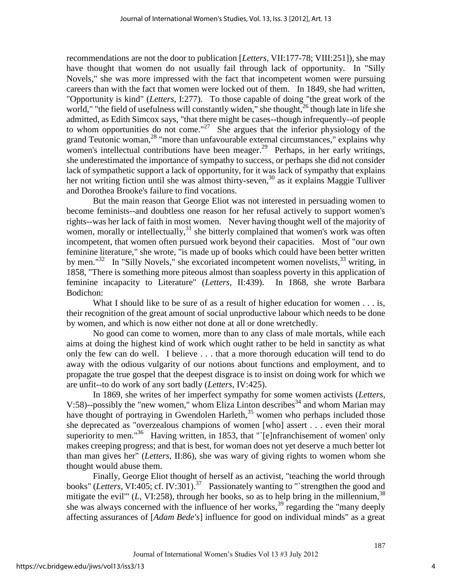recommendations are not the door to publication [*Letters*, VII:177-78; VIII:251]), she may have thought that women do not usually fail through lack of opportunity. In "Silly Novels," she was more impressed with the fact that incompetent women were pursuing careers than with the fact that women were locked out of them. In 1849, she had written, "Opportunity is kind" (*Letters*, I:277). To those capable of doing "the great work of the world," "the field of usefulness will constantly widen," she thought,<sup>26</sup> though late in life she admitted, as Edith Simcox says, "that there might be cases--though infrequently--of people to whom opportunities do not come."<sup>27</sup> She argues that the inferior physiology of the grand Teutonic woman,<sup>28</sup> "more than unfavourable external circumstances," explains why women's intellectual contributions have been meager.<sup>29</sup> Perhaps, in her early writings, she underestimated the importance of sympathy to success, or perhaps she did not consider lack of sympathetic support a lack of opportunity, for it was lack of sympathy that explains her not writing fiction until she was almost thirty-seven,<sup>30</sup> as it explains Maggie Tulliver and Dorothea Brooke's failure to find vocations.

But the main reason that George Eliot was not interested in persuading women to become feminists--and doubtless one reason for her refusal actively to support women's rights--was her lack of faith in most women. Never having thought well of the majority of women, morally or intellectually,  $31$  she bitterly complained that women's work was often incompetent, that women often pursued work beyond their capacities. Most of "our own feminine literature," she wrote, "is made up of books which could have been better written by men." $32$  In "Silly Novels," she excoriated incompetent women novelists,  $33$  writing, in 1858, "There is something more piteous almost than soapless poverty in this application of feminine incapacity to Literature" (*Letters*, II:439). In 1868, she wrote Barbara Bodichon:

What I should like to be sure of as a result of higher education for women  $\dots$  is, their recognition of the great amount of social unproductive labour which needs to be done by women, and which is now either not done at all or done wretchedly.

No good can come to women, more than to any class of male mortals, while each aims at doing the highest kind of work which ought rather to be held in sanctity as what only the few can do well. I believe . . . that a more thorough education will tend to do away with the odious vulgarity of our notions about functions and employment, and to propagate the true gospel that the deepest disgrace is to insist on doing work for which we are unfit--to do work of any sort badly (*Letters*, IV:425).

In 1869, she writes of her imperfect sympathy for some women activists (*Letters*, V:58)--possibly the "new women," whom Eliza Linton describes<sup>34</sup> and whom Marian may have thought of portraying in Gwendolen Harleth,  $35$  women who perhaps included those she deprecated as "overzealous champions of women [who] assert . . . even their moral superiority to men."<sup>36</sup> Having written, in 1853, that "`[e]nfranchisement of women' only makes creeping progress; and that is best, for woman does not yet deserve a much better lot than man gives her" (*Letters*, II:86), she was wary of giving rights to women whom she thought would abuse them.

Finally, George Eliot thought of herself as an activist, "teaching the world through books" (*Letters*, VI:405; cf. IV:301).<sup>37</sup> Passionately wanting to "`strengthen the good and mitigate the evil<sup>"</sup> (*L*, VI:258), through her books, so as to help bring in the millennium,<sup>38</sup> she was always concerned with the influence of her works,  $39$  regarding the "many deeply affecting assurances of [*Adam Bede's*] influence for good on individual minds" as a great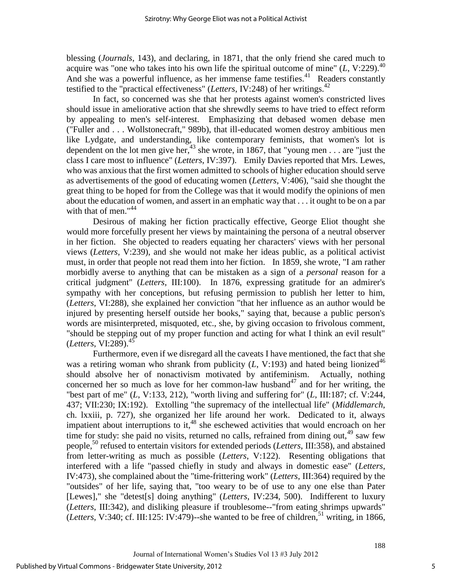blessing (*Journals*, 143), and declaring, in 1871, that the only friend she cared much to acquire was "one who takes into his own life the spiritual outcome of mine"  $(L, V:229)$ .<sup>40</sup> And she was a powerful influence, as her immense fame testifies. $41$  Readers constantly testified to the "practical effectiveness" (*Letters*, IV:248) of her writings.<sup>42</sup>

In fact, so concerned was she that her protests against women's constricted lives should issue in ameliorative action that she shrewdly seems to have tried to effect reform by appealing to men's self-interest. Emphasizing that debased women debase men ("Fuller and . . . Wollstonecraft," 989b), that ill-educated women destroy ambitious men like Lydgate, and understanding, like contemporary feminists, that women's lot is dependent on the lot men give her,<sup>43</sup> she wrote, in 1867, that "young men . . . are "just the class I care most to influence" (*Letters*, IV:397). Emily Davies reported that Mrs. Lewes, who was anxious that the first women admitted to schools of higher education should serve as advertisements of the good of educating women (*Letters*, V:406), "said she thought the great thing to be hoped for from the College was that it would modify the opinions of men about the education of women, and assert in an emphatic way that . . . it ought to be on a par with that of men." $44$ 

Desirous of making her fiction practically effective, George Eliot thought she would more forcefully present her views by maintaining the persona of a neutral observer in her fiction. She objected to readers equating her characters' views with her personal views (*Letters*, V:239), and she would not make her ideas public, as a political activist must, in order that people not read them into her fiction. In 1859, she wrote, "I am rather morbidly averse to anything that can be mistaken as a sign of a *personal* reason for a critical judgment" (*Letters*, III:100). In 1876, expressing gratitude for an admirer's sympathy with her conceptions, but refusing permission to publish her letter to him, (*Letters*, VI:288), she explained her conviction "that her influence as an author would be injured by presenting herself outside her books," saying that, because a public person's words are misinterpreted, misquoted, etc., she, by giving occasion to frivolous comment, "should be stepping out of my proper function and acting for what I think an evil result" (*Letters*, VI:289).<sup>45</sup>

Furthermore, even if we disregard all the caveats I have mentioned, the fact that she was a retiring woman who shrank from publicity  $(L, V:193)$  and hated being lionized<sup>46</sup> should absolve her of nonactivism motivated by antifeminism. Actually, nothing concerned her so much as love for her common-law husband<sup>47</sup> and for her writing, the "best part of me" (*L*, V:133, 212), "worth living and suffering for" (*L*, III:187; cf. V:244, 437; VII:230; IX:192). Extolling "the supremacy of the intellectual life" (*Middlemarch*, ch. lxxiii, p. 727), she organized her life around her work. Dedicated to it, always impatient about interruptions to it, $48$  she eschewed activities that would encroach on her time for study: she paid no visits, returned no calls, refrained from dining out,  $49$  saw few people,<sup>50</sup> refused to entertain visitors for extended periods (*Letters*, III:358), and abstained from letter-writing as much as possible (*Letters*, V:122). Resenting obligations that interfered with a life "passed chiefly in study and always in domestic ease" (*Letters*, IV:473), she complained about the "time-frittering work" (*Letters*, III:364) required by the "outsides" of her life, saying that, "too weary to be of use to any one else than Pater [Lewes]," she "detest[s] doing anything" (*Letters*, IV:234, 500). Indifferent to luxury (*Letters*, III:342), and disliking pleasure if troublesome--"from eating shrimps upwards" (*Letters*, V:340; cf. III:125: IV:479)--she wanted to be free of children,  $51$  writing, in 1866,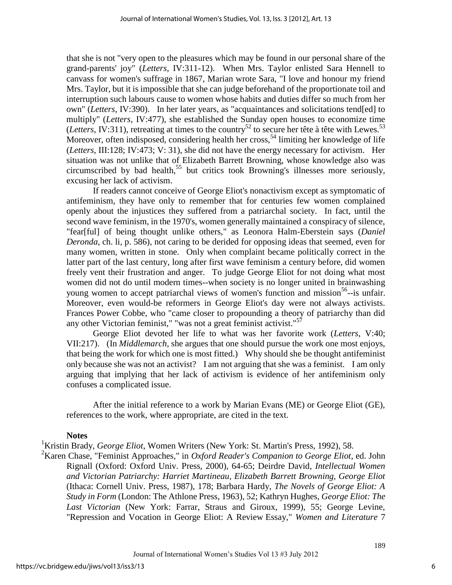that she is not "very open to the pleasures which may be found in our personal share of the grand-parents' joy" (*Letters*, IV:311-12). When Mrs. Taylor enlisted Sara Hennell to canvass for women's suffrage in 1867, Marian wrote Sara, "I love and honour my friend Mrs. Taylor, but it is impossible that she can judge beforehand of the proportionate toil and interruption such labours cause to women whose habits and duties differ so much from her own" (*Letters*, IV:390). In her later years, as "acquaintances and solicitations tend[ed] to multiply" (*Letters*, IV:477), she established the Sunday open houses to economize time (*Letters*, IV:311), retreating at times to the country<sup>52</sup> to secure her tête à tête with Lewes.<sup>53</sup> Moreover, often indisposed, considering health her cross,<sup>54</sup> limiting her knowledge of life (*Letters*, III:128; IV:473; V: 31), she did not have the energy necessary for activism. Her situation was not unlike that of Elizabeth Barrett Browning, whose knowledge also was circumscribed by bad health,<sup>55</sup> but critics took Browning's illnesses more seriously, excusing her lack of activism.

If readers cannot conceive of George Eliot's nonactivism except as symptomatic of antifeminism, they have only to remember that for centuries few women complained openly about the injustices they suffered from a patriarchal society. In fact, until the second wave feminism, in the 1970's, women generally maintained a conspiracy of silence, "fear[ful] of being thought unlike others," as Leonora Halm-Eberstein says (*Daniel Deronda*, ch. li, p. 586), not caring to be derided for opposing ideas that seemed, even for many women, written in stone. Only when complaint became politically correct in the latter part of the last century, long after first wave feminism a century before, did women freely vent their frustration and anger. To judge George Eliot for not doing what most women did not do until modern times--when society is no longer united in brainwashing young women to accept patriarchal views of women's function and mission<sup>56</sup>--is unfair. Moreover, even would-be reformers in George Eliot's day were not always activists. Frances Power Cobbe, who "came closer to propounding a theory of patriarchy than did any other Victorian feminist," "was not a great feminist activist."<sup>57</sup>

George Eliot devoted her life to what was her favorite work (*Letters*, V:40; VII:217). (In *Middlemarch*, she argues that one should pursue the work one most enjoys, that being the work for which one is most fitted.) Why should she be thought antifeminist only because she was not an activist? I am not arguing that she was a feminist. I am only arguing that implying that her lack of activism is evidence of her antifeminism only confuses a complicated issue.

After the initial reference to a work by Marian Evans (ME) or George Eliot (GE), references to the work, where appropriate, are cited in the text.

# **Notes**

<sup>1</sup>Kristin Brady, *George Eliot*, Women Writers (New York: St. Martin's Press, 1992), 58.

<sup>2</sup>Karen Chase, "Feminist Approaches," in *Oxford Reader's Companion to George Eliot*, ed. John Rignall (Oxford: Oxford Univ. Press, 2000), 64-65; Deirdre David, *Intellectual Women and Victorian Patriarchy: Harriet Martineau, Elizabeth Barrett Browning, George Eliot* (Ithaca: Cornell Univ. Press, 1987), 178; Barbara Hardy, *The Novels of George Eliot: A Study in Form* (London: The Athlone Press, 1963), 52; Kathryn Hughes, *George Eliot: The Last Victorian* (New York: Farrar, Straus and Giroux, 1999), 55; George Levine, "Repression and Vocation in George Eliot: A Review Essay," *Women and Literature* 7

6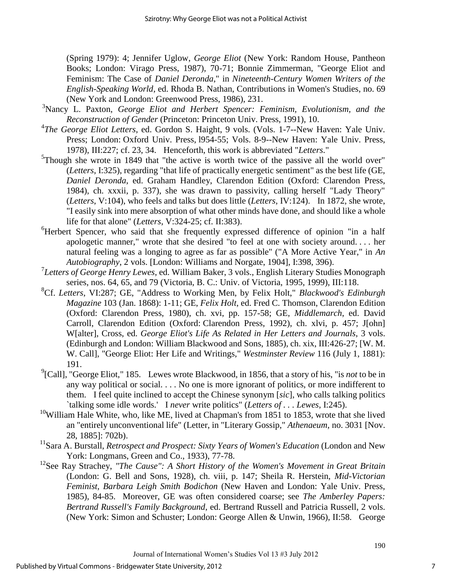(Spring 1979): 4; Jennifer Uglow, *George Eliot* (New York: Random House, Pantheon Books; London: Virago Press, 1987), 70-71; Bonnie Zimmerman, "George Eliot and Feminism: The Case of *Daniel Deronda*," in *Nineteenth-Century Women Writers of the English-Speaking World*, ed. Rhoda B. Nathan, Contributions in Women's Studies, no. 69 (New York and London: Greenwood Press, 1986), 231.

- <sup>3</sup>Nancy L. Paxton, *George Eliot and Herbert Spencer: Feminism, Evolutionism, and the Reconstruction of Gender* (Princeton: Princeton Univ. Press, 1991), 10.
- <sup>4</sup>The George Eliot Letters, ed. Gordon S. Haight, 9 vols. (Vols. 1-7--New Haven: Yale Univ. Press; London: Oxford Univ. Press, l954-55; Vols. 8-9--New Haven: Yale Univ. Press, 1978), III:227; cf. 23, 34. Henceforth, this work is abbreviated "*Letters*."
- $5$ Though she wrote in 1849 that "the active is worth twice of the passive all the world over" (*Letters*, I:325), regarding "that life of practically energetic sentiment" as the best life (GE, *Daniel Deronda*, ed. Graham Handley, Clarendon Edition (Oxford: Clarendon Press, 1984), ch. xxxii, p. 337), she was drawn to passivity, calling herself "Lady Theory" (*Letters*, V:104), who feels and talks but does little (*Letters*, IV:124). In 1872, she wrote, "I easily sink into mere absorption of what other minds have done, and should like a whole life for that alone" (*Letters*, V:324-25; cf. II:383).
- <sup>6</sup>Herbert Spencer, who said that she frequently expressed difference of opinion "in a half apologetic manner," wrote that she desired "to feel at one with society around. . . . her natural feeling was a longing to agree as far as possible" ("A More Active Year," in *An Autobiography*, 2 vols. [London: Williams and Norgate, 1904], I:398, 396).
- <sup>7</sup>*Letters of George Henry Lewes*, ed. William Baker, 3 vols., English Literary Studies Monograph series, nos. 64, 65, and 79 (Victoria, B. C.: Univ. of Victoria, 1995, 1999), III:118.
- <sup>8</sup>Cf. *Letters*, VI:287; GE, "Address to Working Men, by Felix Holt," *Blackwood's Edinburgh Magazine* 103 (Jan. 1868): 1-11; GE, *Felix Holt*, ed. Fred C. Thomson, Clarendon Edition (Oxford: Clarendon Press, 1980), ch. xvi, pp. 157-58; GE, *Middlemarch*, ed. David Carroll, Clarendon Edition (Oxford: Clarendon Press, 1992), ch. xlvi, p. 457; J[ohn] W[alter], Cross, ed. *George Eliot's Life As Related in Her Letters and Journals*, 3 vols. (Edinburgh and London: William Blackwood and Sons, 1885), ch. xix, III:426-27; [W. M. W. Call], "George Eliot: Her Life and Writings," *Westminster Review* 116 (July 1, 1881): 191.
- <sup>9</sup>[Call], "George Eliot," 185. Lewes wrote Blackwood, in 1856, that a story of his, "is *not* to be in any way political or social. . . . No one is more ignorant of politics, or more indifferent to them. I feel quite inclined to accept the Chinese synonym [*sic*], who calls talking politics `talking some idle words.' I *never* write politics" (*Letters of . . . Lewes*, I:245).
- $10$ William Hale White, who, like ME, lived at Chapman's from 1851 to 1853, wrote that she lived an "entirely unconventional life" (Letter, in "Literary Gossip," *Athenaeum*, no. 3031 [Nov. 28, 1885]: 702b).
- <sup>11</sup>Sara A. Burstall, *Retrospect and Prospect: Sixty Years of Women's Education* (London and New York: Longmans, Green and Co., 1933), 77-78.
- <sup>12</sup>See Ray Strachey, "The Cause": A Short History of the Women's Movement in Great Britain (London: G. Bell and Sons, 1928), ch. viii, p. 147; Sheila R. Herstein, *Mid-Victorian Feminist, Barbara Leigh Smith Bodichon* (New Haven and London: Yale Univ. Press, 1985), 84-85. Moreover, GE was often considered coarse; see *The Amberley Papers: Bertrand Russell's Family Background*, ed. Bertrand Russell and Patricia Russell, 2 vols. (New York: Simon and Schuster; London: George Allen & Unwin, 1966), II:58. George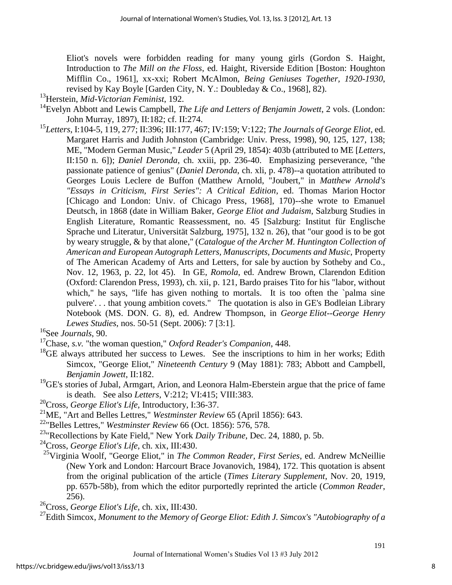Eliot's novels were forbidden reading for many young girls (Gordon S. Haight, Introduction to *The Mill on the Floss*, ed. Haight, Riverside Edition [Boston: Houghton Mifflin Co., 1961], xx-xxi; Robert McAlmon, *Being Geniuses Together, 1920-1930*, revised by Kay Boyle [Garden City, N. Y.: Doubleday & Co., 1968], 82).

- <sup>13</sup>Herstein, *Mid-Victorian Feminist*, 192.
- <sup>14</sup>Evelyn Abbott and Lewis Campbell, *The Life and Letters of Benjamin Jowett*, 2 vols. (London: John Murray, 1897), II:182; cf. II:274.
- <sup>15</sup>*Letters*, I:104-5, 119, 277; II:396; III:177, 467; IV:159; V:122; *The Journals of George Eliot*, ed. Margaret Harris and Judith Johnston (Cambridge: Univ. Press, 1998), 90, 125, 127, 138; ME, "Modern German Music," *Leader* 5 (April 29, 1854): 403b (attributed to ME [*Letters*, II:150 n. 6]); *Daniel Deronda*, ch. xxiii, pp. 236-40. Emphasizing perseverance, "the passionate patience of genius" (*Daniel Deronda*, ch. xli, p. 478)--a quotation attributed to Georges Louis Leclere de Buffon (Matthew Arnold, "Joubert," in *Matthew Arnold's "Essays in Criticism, First Series": A Critical Edition*, ed. Thomas Marion Hoctor [Chicago and London: Univ. of Chicago Press, 1968], 170)--she wrote to Emanuel Deutsch, in 1868 (date in William Baker, *George Eliot and Judaism*, Salzburg Studies in English Literature, Romantic Reassessment, no. 45 [Salzburg: Institut für Englische Sprache und Literatur, Universität Salzburg, 1975], 132 n. 26), that "our good is to be got by weary struggle, & by that alone," (*Catalogue of the Archer M. Huntington Collection of American and European Autograph Letters, Manuscripts, Documents and Music*, Property of The American Academy of Arts and Letters, for sale by auction by Sotheby and Co., Nov. 12, 1963, p. 22, lot 45). In GE, *Romola*, ed. Andrew Brown, Clarendon Edition (Oxford: Clarendon Press, 1993), ch. xii, p. 121, Bardo praises Tito for his "labor, without which," he says, "life has given nothing to mortals. It is too often the `palma sine pulvere'. . . that young ambition covets." The quotation is also in GE's Bodleian Library Notebook (MS. DON. G. 8), ed. Andrew Thompson, in *George Eliot--George Henry Lewes Studies*, nos. 50-51 (Sept. 2006): 7 [3:1].
- <sup>16</sup>See *Journals*, 90.
- <sup>17</sup>Chase, *s.v.* "the woman question," *Oxford Reader's Companion*, 448.
- $18$ <sup>18</sup>GE always attributed her success to Lewes. See the inscriptions to him in her works; Edith Simcox, "George Eliot," *Nineteenth Century* 9 (May 1881): 783; Abbott and Campbell, *Benjamin Jowett*, II:182.
- <sup>19</sup>GE's stories of Jubal, Armgart, Arion, and Leonora Halm-Eberstein argue that the price of fame is death. See also *Letters*, V:212; VI:415; VIII:383.
- <sup>20</sup>Cross, *George Eliot's Life*, Introductory, I:36-37.
- <sup>21</sup>ME, "Art and Belles Lettres," *Westminster Review* 65 (April 1856): 643.
- <sup>22</sup>"Belles Lettres," *Westminster Review* 66 (Oct. 1856): 576, 578.
- <sup>23</sup>"Recollections by Kate Field," New York *Daily Tribune*, Dec. 24, 1880, p. 5b.
- <sup>24</sup>Cross, *George Eliot's Life*, ch. xix, III:430.
- <sup>25</sup>Virginia Woolf, "George Eliot," in *The Common Reader, First Series*, ed. Andrew McNeillie (New York and London: Harcourt Brace Jovanovich, 1984), 172. This quotation is absent from the original publication of the article (*Times Literary Supplement*, Nov. 20, 1919, pp. 657b-58b), from which the editor purportedly reprinted the article (*Common Reader*, 256).
- <sup>26</sup>Cross, *George Eliot's Life*, ch. xix, III:430.

<sup>27</sup>Edith Simcox, *Monument to the Memory of George Eliot: Edith J. Simcox's "Autobiography of a*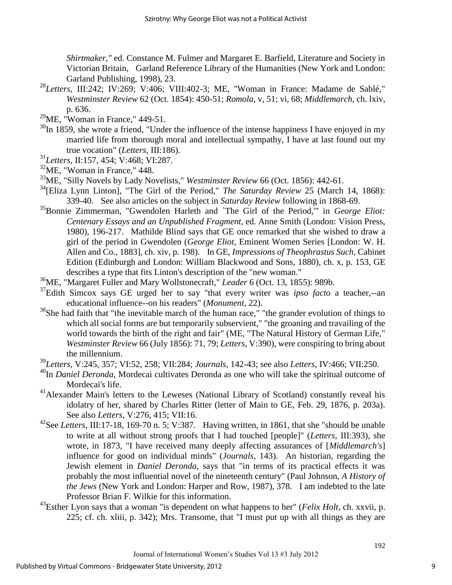*Shirtmaker,"* ed. Constance M. Fulmer and Margaret E. Barfield, Literature and Society in Victorian Britain, Garland Reference Library of the Humanities (New York and London: Garland Publishing, 1998), 23.

- <sup>28</sup>*Letters*, III:242; IV:269; V:406; VIII:402-3; ME, "Woman in France: Madame de Sablé," *Westminster Review* 62 (Oct. 1854): 450-51; *Romola*, v, 51; vi, 68; *Middlemarch*, ch. lxiv, p. 636.
- $^{29}$ ME, "Woman in France," 449-51.
- $30$ In 1859, she wrote a friend, "Under the influence of the intense happiness I have enjoyed in my married life from thorough moral and intellectual sympathy, I have at last found out my true vocation" (*Letters*, III:186).
- <sup>31</sup>*Letters*, II:157, 454; V:468; VI:287.
- <sup>32</sup>ME, "Woman in France," 448.
- <sup>33</sup>ME, "Silly Novels by Lady Novelists," *Westminster Review* 66 (Oct. 1856): 442-61.
- <sup>34</sup>[Eliza Lynn Linton], "The Girl of the Period," *The Saturday Review* 25 (March 14, 1868): 339-40. See also articles on the subject in *Saturday Review* following in 1868-69.
- <sup>35</sup>Bonnie Zimmerman, "Gwendolen Harleth and `The Girl of the Period,'" in *George Eliot: Centenary Essays and an Unpublished Fragment*, ed. Anne Smith (London: Vision Press, 1980), 196-217. Mathilde Blind says that GE once remarked that she wished to draw a girl of the period in Gwendolen (*George Eliot*, Eminent Women Series [London: W. H. Allen and Co., 1883], ch. xiv, p. 198). In GE, *Impressions of Theophrastus Such*, Cabinet Edition (Edinburgh and London: William Blackwood and Sons, 1880), ch. x, p. 153, GE describes a type that fits Linton's description of the "new woman."
- <sup>36</sup>ME, "Margaret Fuller and Mary Wollstonecraft," *Leader* 6 (Oct. 13, 1855): 989b.
- <sup>37</sup>Edith Simcox says GE urged her to say "that every writer was *ipso facto* a teacher,--an educational influence--on his readers" (*Monument*, 22).
- $38$ She had faith that "the inevitable march of the human race," "the grander evolution of things to which all social forms are but temporarily subservient," "the groaning and travailing of the world towards the birth of the right and fair" (ME, "The Natural History of German Life," *Westminster Review* 66 (July 1856): 71, 79; *Letters*, V:390), were conspiring to bring about the millennium.
- <sup>39</sup>*Letters*, V:245, 357; VI:52, 258; VII:284; *Journals*, 142-43; see also *Letters*, IV:466; VII:250.
- <sup>40</sup>In *Daniel Deronda*, Mordecai cultivates Deronda as one who will take the spiritual outcome of Mordecai's life.
- <sup>41</sup> Alexander Main's letters to the Leweses (National Library of Scotland) constantly reveal his idolatry of her, shared by Charles Ritter (letter of Main to GE, Feb. 29, 1876, p. 203a). See also *Letters*, V:276, 415; VII:16.
- <sup>42</sup>See *Letters*, III:17-18, 169-70 n. 5; V:387. Having written, in 1861, that she "should be unable to write at all without strong proofs that I had touched [people]" (*Letters*, III:393), she wrote, in 1873, "I have received many deeply affecting assurances of [*Middlemarch's*] influence for good on individual minds" (*Journals*, 143). An historian, regarding the Jewish element in *Daniel Deronda*, says that "in terms of its practical effects it was probably the most influential novel of the nineteenth century" (Paul Johnson, *A History of the Jews* (New York and London: Harper and Row, 1987), 378. I am indebted to the late Professor Brian F. Wilkie for this information.
- <sup>43</sup>Esther Lyon says that a woman "is dependent on what happens to her" (*Felix Holt*, ch. xxvii, p. 225; cf. ch. xliii, p. 342); Mrs. Transome, that "I must put up with all things as they are